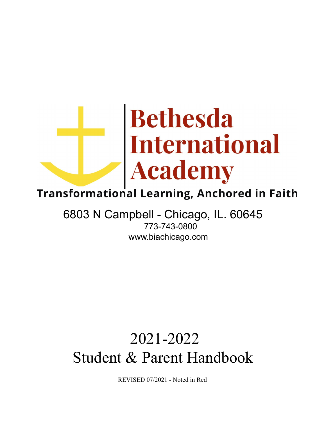# Bethesda<br>International<br>Academy

# **Transformational Learning, Anchored in Faith**

# 6803 N Campbell - Chicago, IL. 60645 773-743-0800 www.biachicago.com

# 2021-2022 Student & Parent Handbook

REVISED 07/2021 - Noted in Red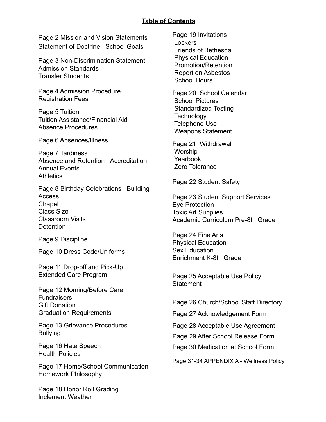#### **Table of Contents**

Page 2 Mission and Vision Statements Statement of Doctrine School Goals

Page 3 Non-Discrimination Statement Admission Standards Transfer Students

Page 4 Admission Procedure Registration Fees

Page 5 Tuition Tuition Assistance/Financial Aid Absence Procedures

Page 6 Absences/Illness

Page 7 Tardiness Absence and Retention Accreditation Annual Events **Athletics** 

Page 8 Birthday Celebrations Building Access **Chapel** Class Size Classroom Visits **Detention** 

Page 9 Discipline

Page 10 Dress Code/Uniforms

Page 11 Drop-off and Pick-Up Extended Care Program

Page 12 Morning/Before Care **Fundraisers** Gift Donation Graduation Requirements

Page 13 Grievance Procedures Bullying

Page 16 Hate Speech Health Policies

Page 17 Home/School Communication Homework Philosophy

Page 18 Honor Roll Grading Inclement Weather

Page 19 Invitations Lockers Friends of Bethesda Physical Education Promotion/Retention Report on Asbestos School Hours

Page 20 School Calendar School Pictures Standardized Testing **Technology** Telephone Use Weapons Statement

Page 21 Withdrawal Worship Yearbook Zero Tolerance

Page 22 Student Safety

Page 23 Student Support Services Eye Protection Toxic Art Supplies Academic Curriculum Pre-8th Grade

Page 24 Fine Arts Physical Education Sex Education Enrichment K-8th Grade

Page 25 Acceptable Use Policy **Statement** 

Page 26 Church/School Staff Directory

Page 27 Acknowledgement Form

Page 28 Acceptable Use Agreement

Page 29 After School Release Form

Page 30 Medication at School Form

Page 31-34 APPENDIX A - Wellness Policy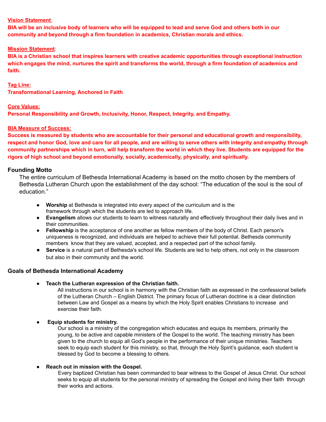#### **Vision Statement**:

BIA will be an inclusive body of learners who will be equipped to lead and serve God and others both in our **community and beyond through a firm foundation in academics, Christian morals and ethics.**

#### **Mission Statement**:

**BIA is a Christian school that inspires learners with creative academic opportunities through exceptional instruction** which engages the mind, nurtures the spirit and transforms the world, through a firm foundation of academics and **faith.**

#### **Tag Line:**

**Transformational Learning, Anchored in Faith**

#### **Core Values:**

**Personal Responsibility and Growth, Inclusivity, Honor, Respect, Integrity, and Empathy.**

#### **BIA Measure of Success:**

Success is measured by students who are accountable for their personal and educational growth and responsibility, respect and honor God, love and care for all people, and are willing to serve others with integrity and empathy through community partnerships which in turn, will help transform the world in which they live. Students are equipped for the **rigors of high school and beyond emotionally, socially, academically, physically, and spiritually.**

#### **Founding Motto**

The entire curriculum of Bethesda International Academy is based on the motto chosen by the members of Bethesda Lutheran Church upon the establishment of the day school: "The education of the soul is the soul of education."

- **Worship** at Bethesda is integrated into every aspect of the curriculum and is the framework through which the students are led to approach life.
- **Evangelism** allows our students to learn to witness naturally and effectively throughout their daily lives and in their communities.
- **Fellowship** is the acceptance of one another as fellow members of the body of Christ. Each person's uniqueness is recognized, and individuals are helped to achieve their full potential. Bethesda community members know that they are valued, accepted, and a respected part of the school family.
- **Service** is a natural part of Bethesda's school life. Students are led to help others, not only in the classroom but also in their community and the world.

#### **Goals of Bethesda International Academy**

**● Teach the Lutheran expression of the Christian faith.**

All instructions in our school is in harmony with the Christian faith as expressed in the confessional beliefs of the Lutheran Church – English District. The primary focus of Lutheran doctrine is a clear distinction between Law and Gospel as a means by which the Holy Spirit enables Christians to increase and exercise their faith.

● **Equip students for ministry.**

Our school is a ministry of the congregation which educates and equips its members, primarily the young, to be active and capable ministers of the Gospel to the world. The teaching ministry has been given to the church to equip all God's people in the performance of their unique ministries. Teachers seek to equip each student for this ministry, so that, through the Holy Spirit's guidance, each student is blessed by God to become a blessing to others.

#### **● Reach out in mission with the Gospel.**

Every baptized Christian has been commanded to bear witness to the Gospel of Jesus Christ. Our school seeks to equip all students for the personal ministry of spreading the Gospel and living their faith through their works and actions.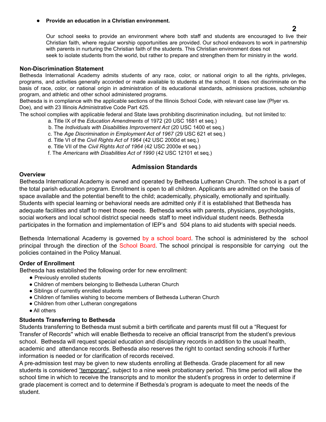#### **● Provide an education in a Christian environment.**

Our school seeks to provide an environment where both staff and students are encouraged to live their Christian faith, where regular worship opportunities are provided. Our school endeavors to work in partnership with parents in nurturing the Christian faith of the students. This Christian environment does not seek to isolate students from the world, but rather to prepare and strengthen them for ministry in the world.

#### **Non-Discrimination Statement**

Bethesda International Academy admits students of any race, color, or national origin to all the rights, privileges, programs, and activities generally accorded or made available to students at the school. It does not discriminate on the basis of race, color, or national origin in administration of its educational standards, admissions practices, scholarship program, and athletic and other school administered programs.

Bethesda is in compliance with the applicable sections of the Illinois School Code, with relevant case law (Plyer vs. Doe), and with 23 Illinois Administrative Code Part 425.

The school complies with applicable federal and State laws prohibiting discrimination including, but not limited to:

- a. Title IX of the *Education Amendments* of 1972 (20 USC 1681 et seq.)
- b. The *Individuals with Disabilities Improvement Act* (20 USC 1400 et seq.)
- c. The *Age Discrimination in Employment Act of 1967* (29 USC 621 et seq.)
- d. Title VI of the *Civil Rights Act of 1964* (42 USC 2000d et seq.)
- e. Title VII of the *Civil Rights Act of 1964* (42 USC 2000e et seq.)
- f. The *Americans with Disabilities Act of 1990* (42 USC 12101 et seq.)

#### **Admission Standards**

#### **Overview**

Bethesda International Academy is owned and operated by Bethesda Lutheran Church. The school is a part of the total parish education program. Enrollment is open to all children. Applicants are admitted on the basis of space available and the potential benefit to the child; academically, physically, emotionally and spiritually. Students with special learning or behavioral needs are admitted only if it is established that Bethesda has adequate facilities and staff to meet those needs. Bethesda works with parents, physicians, psychologists, social workers and local school district special needs staff to meet individual student needs. Bethesda participates in the formation and implementation of IEP's and 504 plans to aid students with special needs.

Bethesda International Academy is governed by a school board. The school is administered by the school principal through the direction of the School Board. The school principal is responsible for carrying out the policies contained in the Policy Manual.

#### **Order of Enrollment**

Bethesda has established the following order for new enrollment:

- Previously enrolled students
- Children of members belonging to Bethesda Lutheran Church
- Siblings of currently enrolled students
- Children of families wishing to become members of Bethesda Lutheran Church
- Children from other Lutheran congregations
- All others

#### **Students Transferring to Bethesda**

Students transferring to Bethesda must submit a birth certificate and parents must fill out a "Request for Transfer of Records'' which will enable Bethesda to receive an official transcript from the student's previous school. Bethesda will request special education and disciplinary records in addition to the usual health, academic and attendance records. Bethesda also reserves the right to contact sending schools if further information is needed or for clarification of records received.

A pre-admission test may be given to new students enrolling at Bethesda. Grade placement for all new students is considered "temporary", subject to a nine week probationary period. This time period will allow the school time in which to receive the transcripts and to monitor the student's progress in order to determine if grade placement is correct and to determine if Bethesda's program is adequate to meet the needs of the student.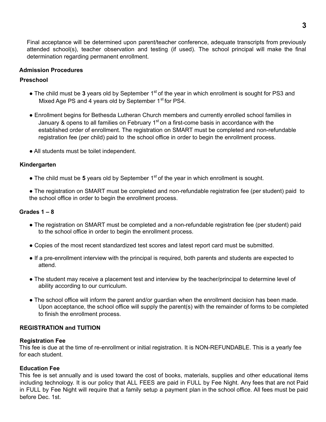Final acceptance will be determined upon parent/teacher conference, adequate transcripts from previously attended school(s), teacher observation and testing (if used). The school principal will make the final determination regarding permanent enrollment.

#### **Admission Procedures**

#### **Preschool**

- $\bullet$  The child must be 3 years old by September 1<sup>st</sup> of the year in which enrollment is sought for PS3 and Mixed Age PS and 4 years old by September 1<sup>st</sup> for PS4.
- Enrollment begins for Bethesda Lutheran Church members and currently enrolled school families in January & opens to all families on February 1<sup>st</sup> on a first-come basis in accordance with the established order of enrollment. The registration on SMART must be completed and non-refundable registration fee (per child) paid to the school office in order to begin the enrollment process.
- All students must be toilet independent.

#### **Kindergarten**

- $\bullet$  The child must be 5 years old by September 1<sup>st</sup> of the year in which enrollment is sought.
- The registration on SMART must be completed and non-refundable registration fee (per student) paid to the school office in order to begin the enrollment process.

#### **Grades 1 – 8**

- The registration on SMART must be completed and a non-refundable registration fee (per student) paid to the school office in order to begin the enrollment process.
- Copies of the most recent standardized test scores and latest report card must be submitted.
- If a pre-enrollment interview with the principal is required, both parents and students are expected to attend.
- The student may receive a placement test and interview by the teacher/principal to determine level of ability according to our curriculum.
- The school office will inform the parent and/or guardian when the enrollment decision has been made. Upon acceptance, the school office will supply the parent(s) with the remainder of forms to be completed to finish the enrollment process.

#### **REGISTRATION and TUITION**

#### **Registration Fee**

This fee is due at the time of re-enrollment or initial registration. It is NON-REFUNDABLE. This is a yearly fee for each student.

#### **Education Fee**

This fee is set annually and is used toward the cost of books, materials, supplies and other educational items including technology. It is our policy that ALL FEES are paid in FULL by Fee Night. Any fees that are not Paid in FULL by Fee Night will require that a family setup a payment plan in the school office. All fees must be paid before Dec. 1st.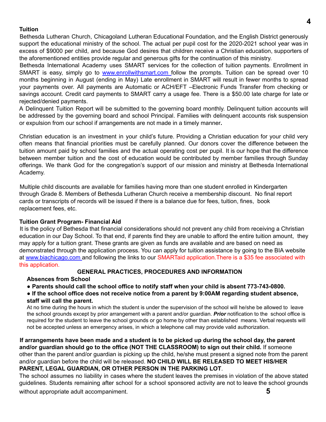#### **Tuition**

Bethesda Lutheran Church, Chicagoland Lutheran Educational Foundation, and the English District generously support the educational ministry of the school. The actual per pupil cost for the 2020-2021 school year was in excess of \$9000 per child, and because God desires that children receive a Christian education, supporters of the aforementioned entities provide regular and generous gifts for the continuation of this ministry.

Bethesda International Academy uses SMART services for the collection of tuition payments. Enrollment in SMART is easy, simply go to www.enrollwithsmart.com follow the prompts. Tuition can be spread over 10 months beginning in August (ending in May) Late enrollment in SMART will result in fewer months to spread your payments over. All payments are Automatic or ACH/EFT –Electronic Funds Transfer from checking or savings account. Credit card payments to SMART carry a usage fee. There is a \$50.00 late charge for late or rejected/denied payments.

A Delinquent Tuition Report will be submitted to the governing board monthly. Delinquent tuition accounts will be addressed by the governing board and school Principal. Families with delinquent accounts risk suspension or expulsion from our school if arrangements are not made in a timely manner**.**

Christian education is an investment in your child's future. Providing a Christian education for your child very often means that financial priorities must be carefully planned. Our donors cover the difference between the tuition amount paid by school families and the actual operating cost per pupil. It is our hope that the difference between member tuition and the cost of education would be contributed by member families through Sunday offerings. We thank God for the congregation's support of our mission and ministry at Bethesda International Academy.

Multiple child discounts are available for families having more than one student enrolled in Kindergarten through Grade 8. Members of Bethesda Lutheran Church receive a membership discount. No final report cards or transcripts of records will be issued if there is a balance due for fees, tuition, fines, book replacement fees, etc.

#### **Tuition Grant Program- Financial Aid**

It is the policy of Bethesda that financial considerations should not prevent any child from receiving a Christian education in our Day School. To that end, if parents find they are unable to afford the entire tuition amount, they may apply for a tuition grant. These grants are given as funds are available and are based on need as demonstrated through the application process. You can apply for tuition assistance by going to the BIA website at www.biachicago.com and following the links to our SMARTaid application. There is a \$35 fee associated with this application.

#### **GENERAL PRACTICES, PROCEDURES AND INFORMATION**

#### **Absences from School**

● **Parents should call the school office to notify staff when your child is absent 773-743-0800.**

● **If the school office does not receive notice from a parent by 9:00AM regarding student absence, staff will call the parent.**

At no time during the hours in which the student is under the supervision of the school will he/she be allowed to leave the school grounds except by prior arrangement with a parent and/or guardian. *Prior* notification to the school office is required for the student to leave the school grounds or go home by other than established means. Verbal requests will not be accepted unless an emergency arises, in which a telephone call may provide valid authorization.

If arrangements have been made and a student is to be picked up during the school day, the parent **and/or guardian should go to the office (NOT THE CLASSROOM) to sign out their child.** If someone other than the parent and/or guardian is picking up the child, he/she must present a signed note from the parent and/or guardian before the child will be released. **NO CHILD WILL BE RELEASED TO MEET HIS/HER PARENT, LEGAL GUARDIAN, OR OTHER PERSON IN THE PARKING LOT**.

The school assumes no liability in cases where the student leaves the premises in violation of the above stated guidelines. Students remaining after school for a school sponsored activity are not to leave the school grounds without appropriate adult accompaniment. **5**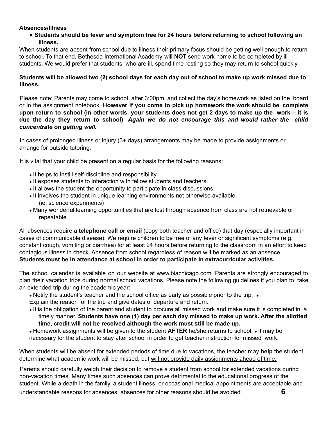#### **Absences/Illness**

● **Students should be fever and symptom free for 24 hours before returning to school following an illness.**

When students are absent from school due to illness their primary focus should be getting well enough to return to school. To that end, Bethesda International Academy will **NOT** send work home to be completed by ill students. We would prefer that students, who are ill, spend time resting so they may return to school quickly.

Students will be allowed two (2) school days for each day out of school to make up work missed due to **illness.**

Please note: Parents may come to school, after 3:00pm, and collect the day's homework as listed on the board or in the assignment notebook. **However if you come to pick up homework the work should be complete** upon return to school (in other words, your students does not get 2 days to make up the work – it is **due the day they return to school)**. *Again we do not encourage this and would rather the child concentrate on getting well.*

In cases of prolonged illness or injury (3+ days) arrangements may be made to provide assignments or arrange for outside tutoring.

It is vital that your child be present on a regular basis for the following reasons:

- It helps to instill self-discipline and responsibility.
- It exposes students to interaction with fellow students and teachers.
- It allows the student the opportunity to participate in class discussions.
- It involves the student in unique learning environments not otherwise available. (ie: science experiments)
- Many wonderful learning opportunities that are lost through absence from class are not retrievable or repeatable.

All absences require a **telephone call or email** (copy both teacher and office) that day (especially important in cases of communicable disease). We require children to be free of any fever or significant symptoms (e.g. constant cough, vomiting or diarrhea) for at least 24 hours before returning to the classroom in an effort to keep contagious illness in check. Absence from school regardless of reason will be marked as an absence. **Students must be in attendance at school in order to participate in extracurricular activities.**

The school calendar is available on our website at www.biachicago.com. Parents are strongly encouraged to plan their vacation trips during normal school vacations. Please note the following guidelines if you plan to take an extended trip during the academic year:

• Notify the student's teacher and the school office as early as possible prior to the trip. •

Explain the reason for the trip and give dates of departure and return.

• It is the obligation of the parent and student to procure all missed work and make sure it is completed in a timely manner. **Students have one (1) day per each day missed to make up work. After the allotted time, credit will not be received although the work must still be made up.**

● Homework assignments will be given to the student **AFTER** he/she returns to school. ● It may be necessary for the student to stay after school in order to get teacher instruction for missed work.

When students will be absent for extended periods of time due to vacations, the teacher may **help** the student determine what academic work will be missed, but will not provide daily assignments ahead of time.

Parents should carefully weigh their decision to remove a student from school for extended vacations during non-vacation times. Many times such absences can prove detrimental to the educational progress of the student. While a death in the family, a student illness, or occasional medical appointments are acceptable and understandable reasons for absences; absences for other reasons should be avoided. **6**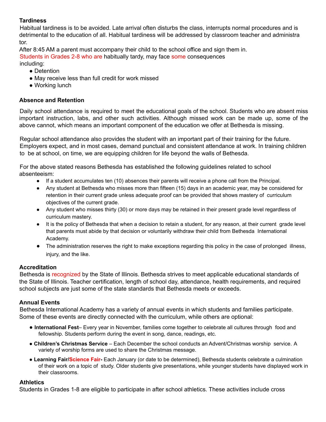#### **Tardiness**

Habitual tardiness is to be avoided. Late arrival often disturbs the class, interrupts normal procedures and is detrimental to the education of all. Habitual tardiness will be addressed by classroom teacher and administra tor.

After 8:45 AM a parent must accompany their child to the school office and sign them in.

Students in Grades 2-8 who are habitually tardy, may face some consequences

including:

- Detention
- May receive less than full credit for work missed
- Working lunch

#### **Absence and Retention**

Daily school attendance is required to meet the educational goals of the school. Students who are absent miss important instruction, labs, and other such activities. Although missed work can be made up, some of the above cannot, which means an important component of the education we offer at Bethesda is missing.

Regular school attendance also provides the student with an important part of their training for the future. Employers expect, and in most cases, demand punctual and consistent attendance at work. In training children to be at school, on time, we are equipping children for life beyond the walls of Bethesda.

For the above stated reasons Bethesda has established the following guidelines related to school absenteeism:

- If a student accumulates ten (10) absences their parents will receive a phone call from the Principal.
- Any student at Bethesda who misses more than fifteen (15) days in an academic year, may be considered for retention in their current grade unless adequate proof can be provided that shows mastery of curriculum objectives of the current grade.
- Any student who misses thirty (30) or more days may be retained in their present grade level regardless of curriculum mastery.
- It is the policy of Bethesda that when a decision to retain a student, for any reason, at their current grade level that parents must abide by that decision or voluntarily withdraw their child from Bethesda International Academy.
- The administration reserves the right to make exceptions regarding this policy in the case of prolonged illness, injury, and the like.

#### **Accreditation**

Bethesda is recognized by the State of Illinois. Bethesda strives to meet applicable educational standards of the State of Illinois. Teacher certification, length of school day, attendance, health requirements, and required school subjects are just some of the state standards that Bethesda meets or exceeds.

#### **Annual Events**

Bethesda International Academy has a variety of annual events in which students and families participate. Some of these events are directly connected with the curriculum, while others are optional:

- **International Fest** Every year in November, families come together to celebrate all cultures through food and fellowship. Students perform during the event in song, dance, readings, etc.
- **Children's Christmas Service** Each December the school conducts an Advent/Christmas worship service. A variety of worship forms are used to share the Christmas message.
- **Learning Fair/Science Fair-** Each January (or date to be determined), Bethesda students celebrate a culmination of their work on a topic of study. Older students give presentations, while younger students have displayed work in their classrooms.

#### **Athletics**

Students in Grades 1-8 are eligible to participate in after school athletics. These activities include cross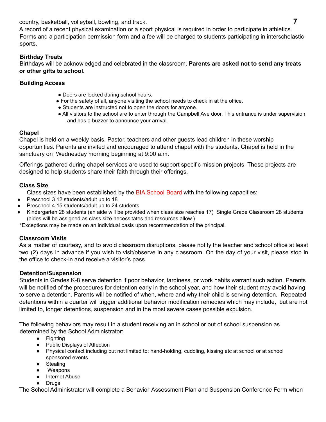country, basketball, volleyball, bowling, and track. **7**

A record of a recent physical examination or a sport physical is required in order to participate in athletics. Forms and a participation permission form and a fee will be charged to students participating in interscholastic sports.

#### **Birthday Treats**

Birthdays will be acknowledged and celebrated in the classroom. **Parents are asked not to send any treats or other gifts to school.**

#### **Building Access**

- Doors are locked during school hours.
- For the safety of all, anyone visiting the school needs to check in at the office.
- Students are instructed not to open the doors for anyone.
- All visitors to the school are to enter through the Campbell Ave door. This entrance is under supervision and has a buzzer to announce your arrival.

#### **Chapel**

Chapel is held on a weekly basis. Pastor, teachers and other guests lead children in these worship opportunities. Parents are invited and encouraged to attend chapel with the students. Chapel is held in the sanctuary on Wednesday morning beginning at 9:00 a.m.

Offerings gathered during chapel services are used to support specific mission projects. These projects are designed to help students share their faith through their offerings.

#### **Class Size**

Class sizes have been established by the BIA School Board with the following capacities:

- Preschool 3 12 students/adult up to 18
- Preschool 4 15 students/adult up to 24 students
- Kindergarten 28 students (an aide will be provided when class size reaches 17) Single Grade Classroom 28 students (aides will be assigned as class size necessitates and resources allow.)

\*Exceptions may be made on an individual basis upon recommendation of the principal.

#### **Classroom Visits**

As a matter of courtesy, and to avoid classroom disruptions, please notify the teacher and school office at least two (2) days in advance if you wish to visit/observe in any classroom. On the day of your visit, please stop in the office to check-in and receive a visitor's pass.

#### **Detention/Suspension**

Students in Grades K-8 serve detention if poor behavior, tardiness, or work habits warrant such action. Parents will be notified of the procedures for detention early in the school year, and how their student may avoid having to serve a detention. Parents will be notified of when, where and why their child is serving detention. Repeated detentions within a quarter will trigger additional behavior modification remedies which may include, but are not limited to, longer detentions, suspension and in the most severe cases possible expulsion.

The following behaviors may result in a student receiving an in school or out of school suspension as determined by the School Administrator:

- Fighting
- Public Displays of Affection
- Physical contact including but not limited to: hand-holding, cuddling, kissing etc at school or at school sponsored events.
- Stealing
- Weapons
- **Internet Abuse**
- Drugs

The School Administrator will complete a Behavior Assessment Plan and Suspension Conference Form when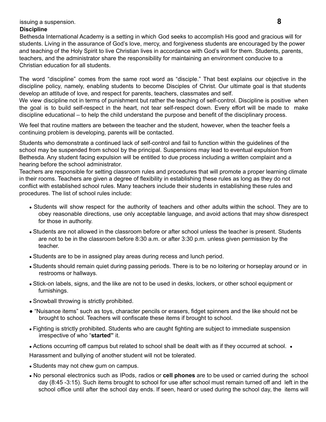#### issuing a suspension. **8**

#### **Discipline**

Bethesda International Academy is a setting in which God seeks to accomplish His good and gracious will for students. Living in the assurance of God's love, mercy, and forgiveness students are encouraged by the power and teaching of the Holy Spirit to live Christian lives in accordance with God's will for them. Students, parents, teachers, and the administrator share the responsibility for maintaining an environment conducive to a Christian education for all students.

The word "discipline" comes from the same root word as "disciple." That best explains our objective in the discipline policy, namely, enabling students to become Disciples of Christ. Our ultimate goal is that students develop an attitude of love, and respect for parents, teachers, classmates and self.

We view discipline not in terms of punishment but rather the teaching of self-control. Discipline is positive when the goal is to build self-respect in the heart, not tear self-respect down. Every effort will be made to make discipline educational – to help the child understand the purpose and benefit of the disciplinary process.

We feel that routine matters are between the teacher and the student, however, when the teacher feels a continuing problem is developing, parents will be contacted.

Students who demonstrate a continued lack of self-control and fail to function within the guidelines of the school may be suspended from school by the principal. Suspensions may lead to eventual expulsion from Bethesda. Any student facing expulsion will be entitled to due process including a written complaint and a hearing before the school administrator.

Teachers are responsible for setting classroom rules and procedures that will promote a proper learning climate in their rooms. Teachers are given a degree of flexibility in establishing these rules as long as they do not conflict with established school rules. Many teachers include their students in establishing these rules and procedures. The list of school rules include:

- Students will show respect for the authority of teachers and other adults within the school. They are to obey reasonable directions, use only acceptable language, and avoid actions that may show disrespect for those in authority.
- Students are not allowed in the classroom before or after school unless the teacher is present. Students are not to be in the classroom before 8:30 a.m. or after 3:30 p.m. unless given permission by the teacher.
- Students are to be in assigned play areas during recess and lunch period.
- Students should remain quiet during passing periods. There is to be no loitering or horseplay around or in restrooms or hallways.
- Stick-on labels, signs, and the like are not to be used in desks, lockers, or other school equipment or furnishings.
- Snowball throwing is strictly prohibited.
- "Nuisance items" such as toys, character pencils or erasers, fidget spinners and the like should not be brought to school. Teachers will confiscate these items if brought to school.
- Fighting is strictly prohibited. Students who are caught fighting are subject to immediate suspension irrespective of who "**started"** it.
- Actions occurring off campus but related to school shall be dealt with as if they occurred at school. •

Harassment and bullying of another student will not be tolerated.

- Students may not chew gum on campus.
- No personal electronics such as IPods, radios or **cell phones** are to be used or carried during the school day (8:45 -3:15). Such items brought to school for use after school must remain turned off and left in the school office until after the school day ends. If seen, heard or used during the school day, the items will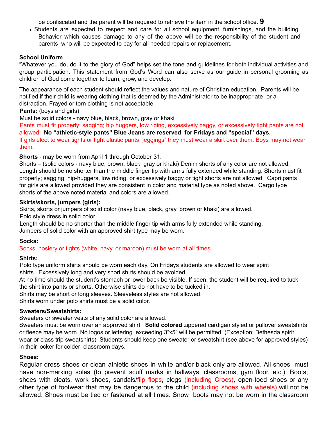be confiscated and the parent will be required to retrieve the item in the school office. **9**

• Students are expected to respect and care for all school equipment, furnishings, and the building. Behavior which causes damage to any of the above will be the responsibility of the student and parents who will be expected to pay for all needed repairs or replacement.

#### **School Uniform**

"Whatever you do, do it to the glory of God" helps set the tone and guidelines for both individual activities and group participation. This statement from God's Word can also serve as our guide in personal grooming as children of God come together to learn, grow, and develop.

The appearance of each student should reflect the values and nature of Christian education. Parents will be notified if their child is wearing clothing that is deemed by the Administrator to be inappropriate or a distraction. Frayed or torn clothing is not acceptable.

#### **Pants:** (boys and girls)

Must be solid colors - navy blue, black, brown, gray or khaki

Pants must fit properly; sagging; hip huggers, low riding, excessively baggy, or excessively tight pants are not allowed. **No "athletic-style pants" Blue Jeans are reserved for Fridays and "special" days.** If girls elect to wear tights or tight elastic pants "jeggings" they must wear a skirt over them. Boys may not wear them.

**Shorts** - may be worn from April 1 through October 31.

Shorts – (solid colors - navy blue, brown, black, gray or khaki) Denim shorts of any color are not allowed. Length should be no shorter than the middle finger tip with arms fully extended while standing. Shorts must fit properly; sagging, hip-huggers, low riding, or excessively baggy or tight shorts are not allowed. Capri pants for girls are allowed provided they are consistent in color and material type as noted above. Cargo type shorts of the above noted material and colors are allowed.

#### **Skirts/skorts, jumpers (girls):**

Skirts, skorts or jumpers of solid color (navy blue, black, gray, brown or khaki) are allowed. Polo style dress in solid color

Length should be no shorter than the middle finger tip with arms fully extended while standing. Jumpers of solid color with an approved shirt type may be worn.

#### **Socks:**

#### Socks, hosiery or tights (white, navy, or maroon) must be worn at all times

#### **Shirts:**

Polo type uniform shirts should be worn each day. On Fridays students are allowed to wear spirit shirts. Excessively long and very short shirts should be avoided.

At no time should the student's stomach or lower back be visible. If seen, the student will be required to tuck the shirt into pants or shorts. Otherwise shirts do not have to be tucked in*.*

Shirts may be short or long sleeves. Sleeveless styles are not allowed.

Shirts worn under polo shirts must be a solid color.

#### **Sweaters/Sweatshirts:**

Sweaters or sweater vests of any solid color are allowed.

Sweaters must be worn over an approved shirt. **Solid colored** zippered cardigan styled or pullover sweatshirts or fleece may be worn. No logos or lettering exceeding 3"x5" will be permitted. (Exception: Bethesda spirit wear or class trip sweatshirts) Students should keep one sweater or sweatshirt (see above for approved styles) in their locker for colder classroom days.

#### **Shoes:**

Regular dress shoes or clean athletic shoes in white and/or black only are allowed. All shoes must have non-marking soles (to prevent scuff marks in hallways, classrooms, gym floor, etc.). Boots, shoes with cleats, work shoes, sandals/flip flops, clogs (including Crocs), open-toed shoes or any other type of footwear that may be dangerous to the child (including shoes with wheels) will not be allowed. Shoes must be tied or fastened at all times. Snow boots may not be worn in the classroom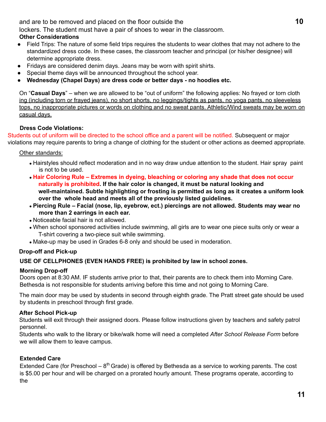and are to be removed and placed on the floor outside the **10**

lockers. The student must have a pair of shoes to wear in the classroom.

#### **Other Considerations**

- Field Trips: The nature of some field trips requires the students to wear clothes that may not adhere to the standardized dress code. In these cases, the classroom teacher and principal (or his/her designee) will determine appropriate dress.
- Fridays are considered denim days. Jeans may be worn with spirit shirts.
- Special theme days will be announced throughout the school year.
- **Wednesday (Chapel Days) are dress code or better days - no hoodies etc.**

On "**Casual Days**" – when we are allowed to be "out of uniform" the following applies: No frayed or torn cloth ing (including torn or frayed jeans), no short shorts, no leggings/tights as pants, no yoga pants, no sleeveless tops, no inappropriate pictures or words on clothing and no sweat pants. Athletic/Wind sweats may be worn on casual days.

#### **Dress Code Violations:**

Students out of uniform will be directed to the school office and a parent will be notified. Subsequent or major violations may require parents to bring a change of clothing for the student or other actions as deemed appropriate.

#### Other standards:

- Hairstyles should reflect moderation and in no way draw undue attention to the student. Hair spray paint is not to be used.
- **Hair Coloring Rule – Extremes in dyeing, bleaching or coloring any shade that does not occur naturally is prohibited. If the hair color is changed, it must be natural looking and well-maintained. Subtle highlighting or frosting is permitted as long as it creates a uniform look over the whole head and meets all of the previously listed guidelines.**
- **Piercing Rule – Facial (nose, lip, eyebrow, ect.) piercings are not allowed. Students may wear no more than 2 earrings in each ear.**
- Noticeable facial hair is not allowed.
- When school sponsored activities include swimming, all girls are to wear one piece suits only or wear a T-shirt covering a two-piece suit while swimming.
- Make-up may be used in Grades 6-8 only and should be used in moderation.

#### **Drop-off and Pick-up**

#### **USE OF CELLPHONES (EVEN HANDS FREE) is prohibited by law in school zones.**

#### **Morning Drop-off**

Doors open at 8:30 AM. IF students arrive prior to that, their parents are to check them into Morning Care. Bethesda is not responsible for students arriving before this time and not going to Morning Care.

The main door may be used by students in second through eighth grade. The Pratt street gate should be used by students in preschool through first grade.

#### **After School Pick-up**

Students will exit through their assigned doors. Please follow instructions given by teachers and safety patrol personnel.

Students who walk to the library or bike/walk home will need a completed *After School Release Form* before we will allow them to leave campus.

#### **Extended Care**

Extended Care (for Preschool  $-8<sup>th</sup>$  Grade) is offered by Bethesda as a service to working parents. The cost is \$5.00 per hour and will be charged on a prorated hourly amount. These programs operate, according to the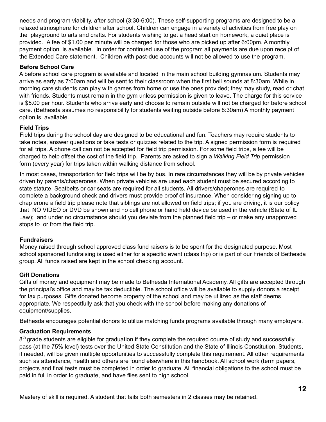needs and program viability, after school (3:30-6:00). These self-supporting programs are designed to be a relaxed atmosphere for children after school. Children can engage in a variety of activities from free play on the playground to arts and crafts. For students wishing to get a head start on homework, a quiet place is provided. A fee of \$1.00 per minute will be charged for those who are picked up after 6:00pm. A monthly payment option is available. In order for continued use of the program all payments are due upon receipt of the Extended Care statement. Children with past-due accounts will not be allowed to use the program.

#### **Before School Care**

A before school care program is available and located in the main school building gymnasium. Students may arrive as early as 7:00am and will be sent to their classroom when the first bell sounds at 8:30am. While in morning care students can play with games from home or use the ones provided; they may study, read or chat with friends. Students must remain in the gym unless permission is given to leave. The charge for this service is \$5.00 per hour. Students who arrive early and choose to remain outside will not be charged for before school care. (Bethesda assumes no responsibility for students waiting outside before 8:30am) A monthly payment option is available.

#### **Field Trips**

Field trips during the school day are designed to be educational and fun. Teachers may require students to take notes, answer questions or take tests or quizzes related to the trip. A signed permission form is required for all trips. A phone call can not be accepted for field trip permission. For some field trips, a fee will be charged to help offset the cost of the field trip. Parents are asked to sign a *Walking Field Trip* permission form (every year) for trips taken within walking distance from school.

In most cases, transportation for field trips will be by bus. In rare circumstances they will be by private vehicles driven by parents/chaperones. When private vehicles are used each student must be secured according to state statute. Seatbelts or car seats are required for all students. All drivers/chaperones are required to complete a background check and drivers must provide proof of insurance. When considering signing up to chap erone a field trip please note that siblings are not allowed on field trips; if you are driving, it is our policy that NO VIDEO or DVD be shown and no cell phone or hand held device be used in the vehicle (State of IL Law); and under no circumstance should you deviate from the planned field trip – or make any unapproved stops to or from the field trip.

#### **Fundraisers**

Money raised through school approved class fund raisers is to be spent for the designated purpose. Most school sponsored fundraising is used either for a specific event (class trip) or is part of our Friends of Bethesda group. All funds raised are kept in the school checking account.

#### **Gift Donations**

Gifts of money and equipment may be made to Bethesda International Academy. All gifts are accepted through the principal's office and may be tax deductible. The school office will be available to supply donors a receipt for tax purposes. Gifts donated become property of the school and may be utilized as the staff deems appropriate. We respectfully ask that you check with the school before making any donations of equipment/supplies.

Bethesda encourages potential donors to utilize matching funds programs available through many employers.

#### **Graduation Requirements**

8<sup>th</sup> grade students are eligible for graduation if they complete the required course of study and successfully pass (at the 75% level) tests over the United State Constitution and the State of Illinois Constitution. Students, if needed, will be given multiple opportunities to successfully complete this requirement. All other requirements such as attendance, health and others are found elsewhere in this handbook. All school work (term papers, projects and final tests must be completed in order to graduate. All financial obligations to the school must be paid in full in order to graduate, and have files sent to high school.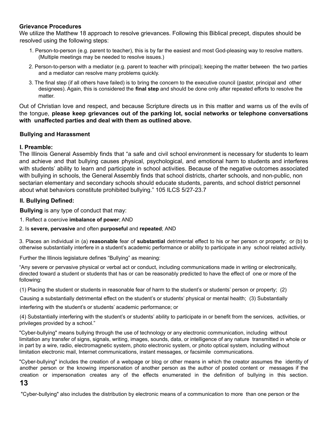#### **Grievance Procedures**

We utilize the Matthew 18 approach to resolve grievances. Following this Biblical precept, disputes should be resolved using the following steps:

- 1. Person-to-person (e.g. parent to teacher), this is by far the easiest and most God-pleasing way to resolve matters. (Multiple meetings may be needed to resolve issues.)
- 2. Person-to-person with a mediator (e.g. parent to teacher with principal); keeping the matter between the two parties and a mediator can resolve many problems quickly.
- 3. The final step (if all others have failed) is to bring the concern to the executive council (pastor, principal and other designees). Again, this is considered the **final step** and should be done only after repeated efforts to resolve the matter.

Out of Christian love and respect, and because Scripture directs us in this matter and warns us of the evils of the tongue, **please keep grievances out of the parking lot, social networks or telephone conversations with unaffected parties and deal with them as outlined above.**

#### **Bullying and Harassment**

#### **I. Preamble:**

The Illinois General Assembly finds that "a safe and civil school environment is necessary for students to learn and achieve and that bullying causes physical, psychological, and emotional harm to students and interferes with students' ability to learn and participate in school activities. Because of the negative outcomes associated with bullying in schools, the General Assembly finds that school districts, charter schools, and non-public, non sectarian elementary and secondary schools should educate students, parents, and school district personnel about what behaviors constitute prohibited bullying." 105 ILCS 5/27-23.7

#### **II. Bullying Defined:**

**Bullying** is any type of conduct that may:

- 1. Reflect a coercive **imbalance of power**; AND
- 2. Is **severe, pervasive** and often **purposeful** and **repeated**; AND

3. Places an individual in (a) **reasonable** fear of **substantial** detrimental effect to his or her person or property; or (b) to otherwise substantially interfere in a student's academic performance or ability to participate in any school related activity.

Further the Illinois legislature defines "Bullying" as meaning:

"Any severe or pervasive physical or verbal act or conduct, including communications made in writing or electronically, directed toward a student or students that has or can be reasonably predicted to have the effect of one or more of the following:

(1) Placing the student or students in reasonable fear of harm to the student's or students' person or property; (2)

Causing a substantially detrimental effect on the student's or students' physical or mental health; (3) Substantially

interfering with the student's or students' academic performance; or

(4) Substantially interfering with the student's or students' ability to participate in or benefit from the services, activities, or privileges provided by a school."

"Cyber-bullying" means bullying through the use of technology or any electronic communication, including without limitation any transfer of signs, signals, writing, images, sounds, data, or intelligence of any nature transmitted in whole or in part by a wire, radio, electromagnetic system, photo electronic system, or photo optical system, including without limitation electronic mail, Internet communications, instant messages, or facsimile communications.

"Cyber-bullying" includes the creation of a webpage or blog or other means in which the creator assumes the identity of another person or the knowing impersonation of another person as the author of posted content or messages if the creation or impersonation creates any of the effects enumerated in the definition of bullying in this section.

#### **13**

"Cyber-bullying" also includes the distribution by electronic means of a communication to more than one person or the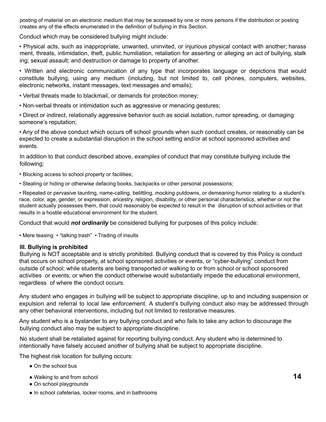posting of material on an electronic medium that may be accessed by one or more persons if the distribution or posting creates any of the effects enumerated in the definition of bullying in this Section.

Conduct which may be considered bullying might include:

• Physical acts, such as inappropriate, unwanted, uninvited, or injurious physical contact with another; harass ment, threats, intimidation, theft, public humiliation, retaliation for asserting or alleging an act of bullying, stalk ing; sexual assault; and destruction or damage to property of another.

• Written and electronic communication of any type that incorporates language or depictions that would constitute bullying, using any medium (including, but not limited to, cell phones, computers, websites, electronic networks, instant messages, text messages and emails);

• Verbal threats made to blackmail, or demands for protection money;

• Non-verbal threats or intimidation such as aggressive or menacing gestures;

• Direct or indirect, relationally aggressive behavior such as social isolation, rumor spreading, or damaging someone's reputation;

• Any of the above conduct which occurs off school grounds when such conduct creates, or reasonably can be expected to create a substantial disruption in the school setting and/or at school sponsored activities and events.

In addition to that conduct described above, *examples* of conduct that may constitute bullying include the following:

- Blocking access to school property or facilities;
- Stealing or hiding or otherwise defacing books, backpacks or other personal possessions;

• Repeated or pervasive taunting, name-calling, belittling, mocking putdowns, or demeaning humor relating to a student's race, color, age, gender, or expression, ancestry, religion, disability, or other personal characteristics, whether or not the student actually possesses them, that could reasonably be expected to result in the disruption of school activities or that results in a hostile educational environment for the student.

Conduct that would *not ordinarily* be considered bullying for purposes of this policy include:

• Mere teasing • "talking trash" • Trading of insults

#### **III. Bullying is prohibited**

Bullying is NOT acceptable and is strictly prohibited. Bullying conduct that is covered by this Policy is conduct that occurs on school property, at school sponsored activities or events, or "cyber-bullying" conduct from outside of school; while students are being transported or walking to or from school or school sponsored activities or events; or when the conduct otherwise would substantially impede the educational environment, regardless of where the conduct occurs.

Any student who engages in bullying will be subject to appropriate discipline, up to and including suspension or expulsion and referral to local law enforcement. A student's bullying conduct also may be addressed through any other behavioral interventions, including but not limited to restorative measures.

Any student who is a bystander to any bullying conduct and who fails to take any action to discourage the bullying conduct also may be subject to appropriate discipline.

No student shall be retaliated against for reporting bullying conduct. Any student who is determined to intentionally have falsely accused another of bullying shall be subject to appropriate discipline.

The highest risk location for bullying occurs:

- On the school bus
- Walking to and from school **14**
- On school playgrounds
- In school cafeterias, locker rooms, and in bathrooms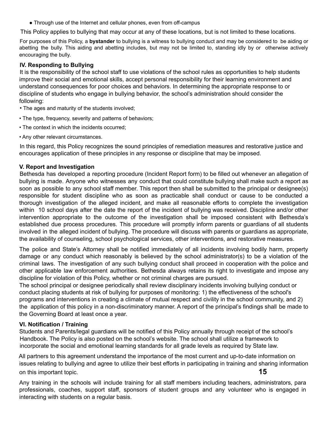• Through use of the Internet and cellular phones, even from off-campus

This Policy applies to bullying that may occur at any of these locations, but is not limited to these locations.

For purposes of this Policy, a **bystander** to bullying is a witness to bullying conduct and may be considered to be aiding or abetting the bully. This aiding and abetting includes, but may not be limited to, standing idly by or otherwise actively encouraging the bully.

#### **IV. Responding to Bullying**

It is the responsibility of the school staff to use violations of the school rules as opportunities to help students improve their social and emotional skills, accept personal responsibility for their learning environment and understand consequences for poor choices and behaviors. In determining the appropriate response to or discipline of students who engage in bullying behavior, the school's administration should consider the following:

- The ages and maturity of the students involved;
- The type, frequency, severity and patterns of behaviors;
- The context in which the incidents occurred;
- Any other relevant circumstances.

In this regard, this Policy recognizes the sound principles of remediation measures and restorative justice and encourages application of these principles in any response or discipline that may be imposed.

#### **V. Report and Investigation**

Bethesda has developed a reporting procedure (Incident Report form) to be filled out whenever an allegation of bullying is made. Anyone who witnesses any conduct that could constitute bullying shall make such a report as soon as possible to any school staff member. This report then shall be submitted to the principal or designee(s) responsible for student discipline who as soon as practicable shall conduct or cause to be conducted a thorough investigation of the alleged incident, and make all reasonable efforts to complete the investigation within 10 school days after the date the report of the incident of bullying was received. Discipline and/or other intervention appropriate to the outcome of the investigation shall be imposed consistent with Bethesda's established due process procedures. This procedure will promptly inform parents or guardians of all students involved in the alleged incident of bullying. The procedure will discuss with parents or guardians as appropriate, the availability of counseling, school psychological services, other interventions, and restorative measures.

The police and State's Attorney shall be notified immediately of all incidents involving bodily harm, property damage or any conduct which reasonably is believed by the school administrator(s) to be a violation of the criminal laws. The investigation of any such bullying conduct shall proceed in cooperation with the police and other applicable law enforcement authorities. Bethesda always retains its right to investigate and impose any discipline for violation of this Policy, whether or not criminal charges are pursued.

The school principal or designee periodically shall review disciplinary incidents involving bullying conduct or conduct placing students at risk of bullying for purposes of monitoring: 1) the effectiveness of the school's programs and interventions in creating a climate of mutual respect and civility in the school community, and 2) the application of this policy in a non-discriminatory manner. A report of the principal's findings shall be made to the Governing Board at least once a year.

#### **VI. Notification / Training**

Students and Parents/legal guardians will be notified of this Policy annually through receipt of the school's Handbook. The Policy is also posted on the school's website. The school shall utilize a framework to incorporate the social and emotional learning standards for all grade levels as required by State law.

All partners to this agreement understand the importance of the most current and up-to-date information on issues relating to bullying and agree to utilize their best efforts in participating in training and sharing information on this important topic. **15**

Any training in the schools will include training for all staff members including teachers, administrators, para professionals, coaches, support staff, sponsors of student groups and any volunteer who is engaged in interacting with students on a regular basis.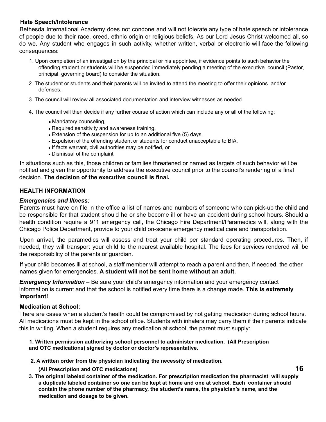#### **Hate Speech/Intolerance**

Bethesda International Academy does not condone and will not tolerate any type of hate speech or intolerance of people due to their race, creed, ethnic origin or religious beliefs. As our Lord Jesus Christ welcomed all, so do we. Any student who engages in such activity, whether written, verbal or electronic will face the following consequences:

- 1. Upon completion of an investigation by the principal or his appointee, if evidence points to such behavior the offending student or students will be suspended immediately pending a meeting of the executive council (Pastor, principal, governing board) to consider the situation.
- 2. The student or students and their parents will be invited to attend the meeting to offer their opinions and/or defenses.
- 3. The council will review all associated documentation and interview witnesses as needed.
- 4. The council will then decide if any further course of action which can include any or all of the following:
	- Mandatory counseling,
	- Required sensitivity and awareness training.
	- Extension of the suspension for up to an additional five (5) days,
	- Expulsion of the offending student or students for conduct unacceptable to BIA,
	- If facts warrant, civil authorities may be notified, or
	- Dismissal of the complaint

In situations such as this, those children or families threatened or named as targets of such behavior will be notified and given the opportunity to address the executive council prior to the council's rendering of a final decision. **The decision of the executive council is final.**

#### **HEALTH INFORMATION**

#### *Emergencies and Illness:*

Parents must have on file in the office a list of names and numbers of someone who can pick-up the child and be responsible for that student should he or she become ill or have an accident during school hours. Should a health condition require a 911 emergency call, the Chicago Fire Department/Paramedics will, along with the Chicago Police Department, provide to your child on-scene emergency medical care and transportation.

Upon arrival, the paramedics will assess and treat your child per standard operating procedures. Then, if needed, they will transport your child to the nearest available hospital. The fees for services rendered will be the responsibility of the parents or guardian.

If your child becomes ill at school, a staff member will attempt to reach a parent and then, if needed, the other names given for emergencies. **A student will not be sent home without an adult.**

*Emergency Information* – Be sure your child's emergency information and your emergency contact information is current and that the school is notified every time there is a change made. **This is extremely important!**

#### **Medication at School:**

There are cases when a student's health could be compromised by not getting medication during school hours. All medications must be kept in the school office. Students with inhalers may carry them if their parents indicate this in writing. When a student requires any medication at school, the parent must supply:

#### **1. Written permission authorizing school personnel to administer medication. (All Prescription and OTC medications) signed by doctor or doctor's representative.**

- **2. A written order from the physician indicating the necessity of medication.**
	- **(All Prescription and OTC medications) 16**
- **3. The original labeled container of the medication. For prescription medication the pharmacist will supply a duplicate labeled container so one can be kept at home and one at school. Each container should contain the phone number of the pharmacy, the student's name, the physician's name, and the medication and dosage to be given.**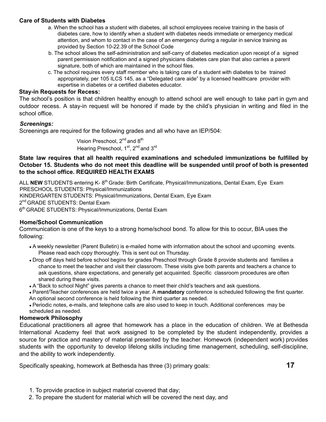#### **Care of Students with Diabetes**

- a. When the school has a student with diabetes, all school employees receive training in the basis of diabetes care, how to identify when a student with diabetes needs immediate or emergency medical attention, and whom to contact in the case of an emergency during a regular in service training as provided by Section 10-22.39 of the School Code
- b. The school allows the self-administration and self-carry of diabetes medication upon receipt of a signed parent permission notification and a signed physicians diabetes care plan that also carries a parent signature, both of which are maintained in the school files.
- c. The school requires every staff member who is taking care of a student with diabetes to be trained appropriately, per 105 ILCS 145, as a "Delegated care aide" by a licensed healthcare provider with expertise in diabetes or a certified diabetes educator.

#### **Stay-in Requests for Recess:**

The school's position is that children healthy enough to attend school are well enough to take part in gym and outdoor recess. A stay-in request will be honored if made by the child's physician in writing and filed in the school office.

#### *Screenings:*

Screenings are required for the following grades and all who have an IEP/504:

Vision Preschool, 2<sup>nd</sup> and 8<sup>th</sup> Hearing Preschool, 1<sup>st</sup>, 2<sup>nd</sup> and 3<sup>rd</sup>

**State law requires that all health required examinations and scheduled immunizations be fulfilled by** October 15. Students who do not meet this deadline will be suspended until proof of both is presented **to the school office. REQUIRED HEALTH EXAMS**

ALL NEW STUDENTS entering K-8<sup>th</sup> Grade: Birth Certificate, Physical/Immunizations, Dental Exam, Eye Exam PRESCHOOL STUDENTS: Physical/Immunizations KINDERGARTEN STUDENTS: Physical/Immunizations, Dental Exam, Eye Exam 2<sup>nd</sup> GRADE STUDENTS: Dental Exam 6<sup>th</sup> GRADE STUDENTS: Physical/Immunizations, Dental Exam

#### **Home/School Communication**

Communication is one of the keys to a strong home/school bond. To allow for this to occur, BIA uses the following:

- A weekly newsletter (Parent Bulletin) is e-mailed home with information about the school and upcoming events. Please read each copy thoroughly. This is sent out on Thursday.
- Drop off days held before school begins for grades Preschool through Grade 8 provide students and families a chance to meet the teacher and visit their classroom. These visits give both parents and teachers a chance to ask questions, share expectations, and generally get acquainted. Specific classroom procedures are often shared during these visits.
- A "Back to school Night" gives parents a chance to meet their child's teachers and ask questions.
- Parent/Teacher conferences are held twice a year. A **mandatory** conference is scheduled following the first quarter. An optional second conference is held following the third quarter as needed.

● Periodic notes, e-mails, and telephone calls are also used to keep in touch. Additional conferences may be scheduled as needed.

#### **Homework Philosophy**

Educational practitioners all agree that homework has a place in the education of children. We at Bethesda International Academy feel that work assigned to be completed by the student independently, provides a source for practice and mastery of material presented by the teacher. Homework (independent work) provides students with the opportunity to develop lifelong skills including time management, scheduling, self-discipline, and the ability to work independently.

Specifically speaking, homework at Bethesda has three (3) primary goals: **17**

- 1. To provide practice in subject material covered that day;
- 2. To prepare the student for material which will be covered the next day, and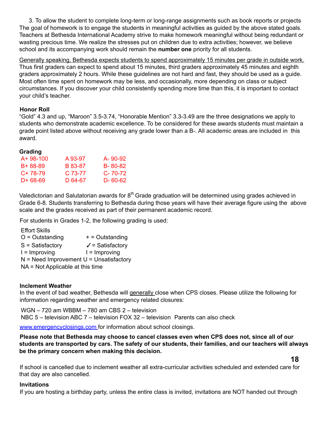3. To allow the student to complete long-term or long-range assignments such as book reports or projects The goal of homework is to engage the students in meaningful activities as guided by the above stated goals. Teachers at Bethesda International Academy strive to make homework meaningful without being redundant or wasting precious time. We realize the stresses put on children due to extra activities; however, we believe school and its accompanying work should remain the **number one** priority for all students.

Generally speaking, Bethesda expects students to spend approximately 15 minutes per grade in outside work. Thus first graders can expect to spend about 15 minutes, third graders approximately 45 minutes and eighth graders approximately 2 hours. While these guidelines are not hard and fast, they should be used as a guide. Most often time spent on homework may be less, and occasionally, more depending on class or subject circumstances. If you discover your child consistently spending more time than this, it is important to contact your child's teacher.

#### **Honor Roll**

"Gold" 4.3 and up, "Maroon" 3.5-3.74, "Honorable Mention" 3.3-3.49 are the three designations we apply to students who demonstrate academic excellence. To be considered for these awards students must maintain a grade point listed above without receiving any grade lower than a B-. All academic areas are included in this award.

#### **Grading**

| $A + 98 - 100$ | A 93-97   | A-90-92       |
|----------------|-----------|---------------|
| B+ 88-89       | B 83-87   | B-80-82       |
| $C+78-79$      | $C.73-77$ | $C - 70 - 72$ |
| D+ 68-69       | D 64-67   | D-60-62       |
|                |           |               |

Valedictorian and Salutatorian awards for 8<sup>th</sup> Grade graduation will be determined using grades achieved in Grade 6-8. Students transferring to Bethesda during those years will have their average figure using the above scale and the grades received as part of their permanent academic record.

For students in Grades 1-2, the following grading is used:

Effort Skills

- $O =$  Outstanding  $+$  = Outstanding
- $S = S$ atisfactory  $\checkmark$  = Satisfactory
- $I = Improwing$   $I = Improwing$
- $N =$  Need Improvement  $U =$  Unsatisfactory
- NA = Not Applicable at this time

#### **Inclement Weather**

In the event of bad weather, Bethesda will generally close when CPS closes. Please utilize the following for information regarding weather and emergency related closures:

WGN – 720 am WBBM – 780 am CBS 2 – television NBC 5 – television ABC 7 – television FOX 32 – television Parents can also check

www.emergencyclosings.com for information about school closings.

**Please note that Bethesda may choose to cancel classes even when CPS does not, since all of our** students are transported by cars. The safety of our students, their families, and our teachers will always **be the primary concern when making this decision.**

**18**

If school is cancelled due to inclement weather all extra-curricular activities scheduled and extended care for that day are also cancelled.

#### **Invitations**

If you are hosting a birthday party, unless the entire class is invited, invitations are NOT handed out through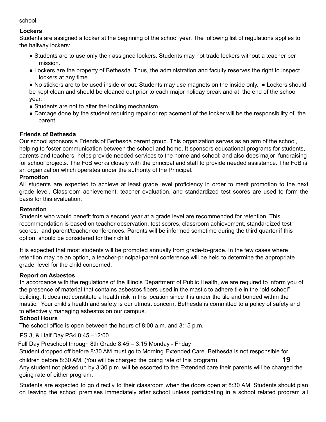school.

#### **Lockers**

Students are assigned a locker at the beginning of the school year. The following list of regulations applies to the hallway lockers:

- Students are to use only their assigned lockers. Students may not trade lockers without a teacher per mission.
- Lockers are the property of Bethesda. Thus, the administration and faculty reserves the right to inspect lockers at any time.

● No stickers are to be used inside or out. Students may use magnets on the inside only. ● Lockers should be kept clean and should be cleaned out prior to each major holiday break and at the end of the school year.

- Students are not to alter the locking mechanism.
- Damage done by the student requiring repair or replacement of the locker will be the responsibility of the parent.

#### **Friends of Bethesda**

Our school sponsors a Friends of Bethesda parent group. This organization serves as an arm of the school, helping to foster communication between the school and home. It sponsors educational programs for students, parents and teachers; helps provide needed services to the home and school; and also does major fundraising for school projects. The FoB works closely with the principal and staff to provide needed assistance. The FoB is an organization which operates under the authority of the Principal.

#### **Promotion**

All students are expected to achieve at least grade level proficiency in order to merit promotion to the next grade level. Classroom achievement, teacher evaluation, and standardized test scores are used to form the basis for this evaluation.

#### **Retention**

Students who would benefit from a second year at a grade level are recommended for retention. This recommendation is based on teacher observation, test scores, classroom achievement, standardized test scores, and parent/teacher conferences. Parents will be informed sometime during the third quarter if this option should be considered for their child.

It is expected that most students will be promoted annually from grade-to-grade. In the few cases where retention may be an option, a teacher-principal-parent conference will be held to determine the appropriate grade level for the child concerned.

#### **Report on Asbestos**

In accordance with the regulations of the Illinois Department of Public Health, we are required to inform you of the presence of material that contains asbestos fibers used in the mastic to adhere tile in the "old school" building. It does not constitute a health risk in this location since it is under the tile and bonded within the mastic. Your child's health and safety is our utmost concern. Bethesda is committed to a policy of safety and to effectively managing asbestos on our campus.

#### **School Hours**

The school office is open between the hours of 8:00 a.m. and 3:15 p.m.

PS 3, & Half Day PS4 8:45 –12:00

Full Day Preschool through 8th Grade 8:45 – 3:15 Monday - Friday

Student dropped off before 8:30 AM must go to Morning Extended Care. Bethesda is not responsible for

children before 8:30 AM. (You will be charged the going rate of this program). **19** Any student not picked up by 3:30 p.m. will be escorted to the Extended care their parents will be charged the going rate of either program.

Students are expected to go directly to their classroom when the doors open at 8:30 AM. Students should plan on leaving the school premises immediately after school unless participating in a school related program all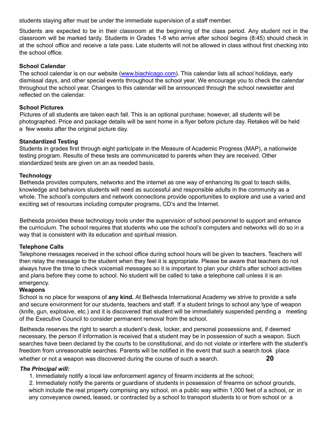students staying after must be under the immediate supervision of a staff member.

Students are expected to be in their classroom at the beginning of the class period. Any student not in the classroom will be marked tardy. Students in Grades 1-8 who arrive after school begins (8:45) should check in at the school office and receive a late pass. Late students will not be allowed in class without first checking into the school office.

#### **School Calendar**

The school calendar is on our website (www.biachicago.com). This calendar lists all school holidays, early dismissal days, and other special events throughout the school year. We encourage you to check the calendar throughout the school year. Changes to this calendar will be announced through the school newsletter and reflected on the calendar.

#### **School Pictures**

Pictures of all students are taken each fall. This is an optional purchase; however, all students will be photographed. Price and package details will be sent home in a flyer before picture day. Retakes will be held a few weeks after the original picture day.

#### **Standardized Testing**

Students in grades first through eight participate in the Measure of Academic Progress (MAP), a nationwide testing program. Results of these tests are communicated to parents when they are received. Other standardized tests are given on an as needed basis.

#### **Technology**

Bethesda provides computers, networks and the internet as one way of enhancing its goal to teach skills, knowledge and behaviors students will need as successful and responsible adults in the community as a whole. The school's computers and network connections provide opportunities to explore and use a varied and exciting set of resources including computer programs, CD's and the Internet.

Bethesda provides these technology tools under the supervision of school personnel to support and enhance the curriculum. The school requires that students who use the school's computers and networks will do so in a way that is consistent with its education and spiritual mission.

#### **Telephone Calls**

Telephone messages received in the school office during school hours will be given to teachers. Teachers will then relay the message to the student when they feel it is appropriate. Please be aware that teachers do not always have the time to check voicemail messages so it is important to plan your child's after school activities and plans before they come to school. No student will be called to take a telephone call unless it is an emergency.

#### **Weapons**

School is no place for weapons of **any kind.** At Bethesda International Academy we strive to provide a safe and secure environment for our students, teachers and staff. If a student brings to school any type of weapon (knife, gun, explosive, etc.) and it is discovered that student will be immediately suspended pending a meeting of the Executive Council to consider permanent removal from the school.

Bethesda reserves the right to search a student's desk, locker, and personal possessions and, if deemed necessary, the person if information is received that a student may be in possession of such a weapon. Such searches have been declared by the courts to be constitutional, and do not violate or interfere with the student's freedom from unreasonable searches. Parents will be notified in the event that such a search took place whether or not a weapon was discovered during the course of such a search. **20**

#### *The Principal will:*

1. Immediately notify a local law enforcement agency of firearm incidents at the school;

2. Immediately notify the parents or guardians of students in possession of firearms on school grounds, which include the real property comprising any school, on a public way within 1,000 feet of a school, or in any conveyance owned, leased, or contracted by a school to transport students to or from school or a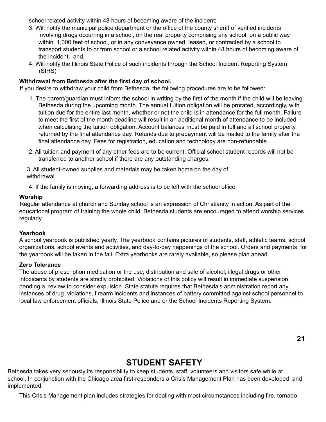school related activity within 48 hours of becoming aware of the incident;

- 3. Will notify the municipal police department or the office of the county sheriff of verified incidents involving drugs occurring in a school, on the real property comprising any school, on a public way within 1,000 feet of school, or in any conveyance owned, leased, or contracted by a school to transport students to or from school or a school related activity within 48 hours of becoming aware of the incident; and,
- 4. Will notify the Illinois State Police of such incidents through the School Incident Reporting System (SIRS)

#### **Withdrawal from Bethesda after the first day of school.**

If you desire to withdraw your child from Bethesda, the following procedures are to be followed:

- 1. The parent/guardian must inform the school in writing by the first of the month if the child will be leaving Bethesda during the upcoming month. The annual tuition obligation will be prorated, accordingly, with tuition due for the entire last month, whether or not the child is in attendance for the full month. Failure to meet the first of the month deadline will result in an additional month of attendance to be included when calculating the tuition obligation. Account balances must be paid in full and all school property returned by the final attendance day. Refunds due to prepayment will be mailed to the family after the final attendance day. Fees for registration, education and technology are non-refundable.
- 2. All tuition and payment of any other fees are to be current. Official school student records will not be transferred to another school if there are any outstanding charges.

3. All student-owned supplies and materials may be taken home on the day of withdrawal.

4. If the family is moving, a forwarding address is to be left with the school office.

#### **Worship**

Regular attendance at church and Sunday school is an expression of Christianity in action. As part of the educational program of training the whole child, Bethesda students are encouraged to attend worship services regularly.

#### **Yearbook**

A school yearbook is published yearly. The yearbook contains pictures of students, staff, athletic teams, school organizations, school events and activities, and day-to-day happenings of the school. Orders and payments for the yearbook will be taken in the fall. Extra yearbooks are rarely available, so please plan ahead.

#### **Zero Tolerance**

The abuse of prescription medication or the use, distribution and sale of alcohol, illegal drugs or other intoxicants by students are strictly prohibited. Violations of this policy will result in immediate suspension pending a review to consider expulsion. State statute requires that Bethesda's administration report any instances of drug violations, firearm incidents and instances of battery committed against school personnel to local law enforcement officials, Illinois State Police and or the School Incidents Reporting System.

**21**

### **STUDENT SAFETY**

Bethesda takes very seriously its responsibility to keep students, staff, volunteers and visitors safe while at school. In conjunction with the Chicago area first-responders a Crisis Management Plan has been developed and implemented.

This Crisis Management plan includes strategies for dealing with most circumstances including fire, tornado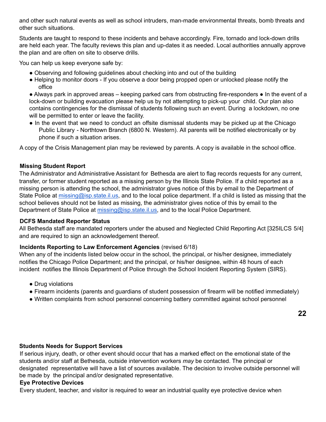and other such natural events as well as school intruders, man-made environmental threats, bomb threats and other such situations.

Students are taught to respond to these incidents and behave accordingly. Fire, tornado and lock-down drills are held each year. The faculty reviews this plan and up-dates it as needed. Local authorities annually approve the plan and are often on site to observe drills.

You can help us keep everyone safe by:

- Observing and following guidelines about checking into and out of the building
- Helping to monitor doors If you observe a door being propped open or unlocked please notify the office

● Always park in approved areas – keeping parked cars from obstructing fire-responders ● In the event of a lock-down or building evacuation please help us by not attempting to pick-up your child. Our plan also contains contingencies for the dismissal of students following such an event. During a lockdown, no one will be permitted to enter or leave the facility.

• In the event that we need to conduct an offsite dismissal students may be picked up at the Chicago Public Library - Northtown Branch (6800 N. Western). All parents will be notified electronically or by phone if such a situation arises.

A copy of the Crisis Management plan may be reviewed by parents. A copy is available in the school office.

#### **Missing Student Report**

The Administrator and Administrative Assistant for Bethesda are alert to flag records requests for any current, transfer, or former student reported as a missing person by the Illinois State Police. If a child reported as a missing person is attending the school, the administrator gives notice of this by email to the Department of State Police at missing@isp.state.il.us, and to the local police department. If a child is listed as missing that the school believes should not be listed as missing, the administrator gives notice of this by email to the Department of State Police at missing@isp.state.il.us, and to the local Police Department.

#### **DCFS Mandated Reporter Status**

All Bethesda staff are mandated reporters under the abused and Neglected Child Reporting Act [325ILCS 5/4] and are required to sign an acknowledgement thereof.

#### **Incidents Reporting to Law Enforcement Agencies** (revised 6/18)

When any of the incidents listed below occur in the school, the principal, or his/her designee, immediately notifies the Chicago Police Department; and the principal, or his/her designee, within 48 hours of each incident notifies the Illinois Department of Police through the School Incident Reporting System (SIRS).

- Drug violations
- Firearm incidents (parents and guardians of student possession of firearm will be notified immediately)
- Written complaints from school personnel concerning battery committed against school personnel

#### **Students Needs for Support Services**

If serious injury, death, or other event should occur that has a marked effect on the emotional state of the students and/or staff at Bethesda, outside intervention workers *may* be contacted. The principal or designated representative will have a list of sources available. The decision to involve outside personnel will be made by the principal and/or designated representative.

#### **Eye Protective Devices**

Every student, teacher, and visitor is required to wear an industrial quality eye protective device when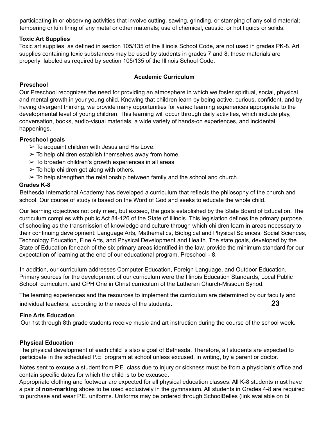participating in or observing activities that involve cutting, sawing, grinding, or stamping of any solid material; tempering or kiln firing of any metal or other materials; use of chemical, caustic, or hot liquids or solids.

#### **Toxic Art Supplies**

Toxic art supplies, as defined in section 105/135 of the Illinois School Code, are not used in grades PK-8. Art supplies containing toxic substances may be used by students in grades 7 and 8; these materials are properly labeled as required by section 105/135 of the Illinois School Code.

#### **Academic Curriculum**

#### **Preschool**

Our Preschool recognizes the need for providing an atmosphere in which we foster spiritual, social, physical, and mental growth in your young child. Knowing that children learn by being active, curious, confident, and by having divergent thinking, we provide many opportunities for varied learning experiences appropriate to the developmental level of young children. This learning will occur through daily activities, which include play, conversation, books, audio-visual materials, a wide variety of hands-on experiences, and incidental happenings.

#### **Preschool goals**

- $\geq$  To acquaint children with Jesus and His Love.
- $\geq$  To help children establish themselves away from home.
- $\geq$  To broaden children's growth experiences in all areas.
- $\triangleright$  To help children get along with others.
- $\geq$  To help strengthen the relationship between family and the school and church.

#### **Grades K-8**

Bethesda International Academy has developed a curriculum that reflects the philosophy of the church and school. Our course of study is based on the Word of God and seeks to educate the whole child.

Our learning objectives not only meet, but exceed, the goals established by the State Board of Education. The curriculum complies with public Act 84-126 of the State of Illinois. This legislation defines the primary purpose of schooling as the transmission of knowledge and culture through which children learn in areas necessary to their continuing development: Language Arts, Mathematics, Biological and Physical Sciences, Social Sciences, Technology Education, Fine Arts, and Physical Development and Health. The state goals, developed by the State of Education for each of the six primary areas identified in the law, provide the minimum standard for our expectation of learning at the end of our educational program, Preschool - 8.

In addition, our curriculum addresses Computer Education, Foreign Language, and Outdoor Education. Primary sources for the development of our curriculum were the Illinois Education Standards, Local Public School curriculum, and CPH One in Christ curriculum of the Lutheran Church-Missouri Synod.

The learning experiences and the resources to implement the curriculum are determined by our faculty and individual teachers, according to the needs of the students. **23**

#### **Fine Arts Education**

Our 1st through 8th grade students receive music and art instruction during the course of the school week.

#### **Physical Education**

The physical development of each child is also a goal of Bethesda. Therefore, all students are expected to participate in the scheduled P.E. program at school unless excused, in writing, by a parent or doctor.

Notes sent to excuse a student from P.E. class due to injury or sickness must be from a physician's office and contain specific dates for which the child is to be excused.

Appropriate clothing and footwear are expected for all physical education classes. All K-8 students must have a pair of **non-marking** shoes to be used exclusively in the gymnasium. All students in Grades 4-8 are required to purchase and wear P.E. uniforms. Uniforms may be ordered through SchoolBelles (link available on bi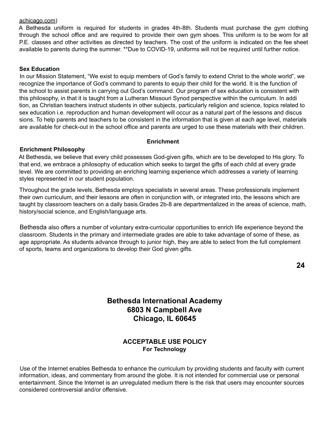#### achicago.com)

A Bethesda uniform is required for students in grades 4th-8th. Students must purchase the gym clothing through the school office and are required to provide their own gym shoes. This uniform is to be worn for all P.E. classes and other activities as directed by teachers. The cost of the uniform is indicated on the fee sheet available to parents during the summer. \*\*Due to COVID-19, uniforms will not be required until further notice.

#### **Sex Education**

In our Mission Statement, "We exist to equip members of God's family to extend Christ to the whole world", we recognize the importance of God's command to parents to equip their child for the world. It is the function of the school to assist parents in carrying out God's command. Our program of sex education is consistent with this philosophy, in that it is taught from a Lutheran Missouri Synod perspective within the curriculum. In addi tion, as Christian teachers instruct students in other subjects, particularly religion and science, topics related to sex education i.e. reproduction and human development will occur as a natural part of the lessons and discus sions. To help parents and teachers to be consistent in the information that is given at each age level, materials are available for check-out in the school office and parents are urged to use these materials with their children.

#### **Enrichment**

#### **Enrichment Philosophy**

At Bethesda, we believe that every child possesses God-given gifts, which are to be developed to His glory. To that end, we embrace a philosophy of education which seeks to target the gifts of each child at every grade level. We are committed to providing an enriching learning experience which addresses a variety of learning styles represented in our student population.

Throughout the grade levels, Bethesda employs specialists in several areas. These professionals implement their own curriculum, and their lessons are often in conjunction with, or integrated into, the lessons which are taught by classroom teachers on a daily basis.Grades 2b-8 are departmentalized in the areas of science, math, history/social science, and English/language arts.

Bethesda also offers a number of voluntary extra-curricular opportunities to enrich life experience beyond the classroom. Students in the primary and intermediate grades are able to take advantage of some of these, as age appropriate. As students advance through to junior high, they are able to select from the full complement of sports, teams and organizations to develop their God given gifts.

#### **Bethesda International Academy 6803 N Campbell Ave Chicago, IL 60645**

#### **ACCEPTABLE USE POLICY For Technology**

Use of the Internet enables Bethesda to enhance the curriculum by providing students and faculty with current information, ideas, and commentary from around the globe. It is not intended for commercial use or personal entertainment. Since the Internet is an unregulated medium there is the risk that users may encounter sources considered controversial and/or offensive.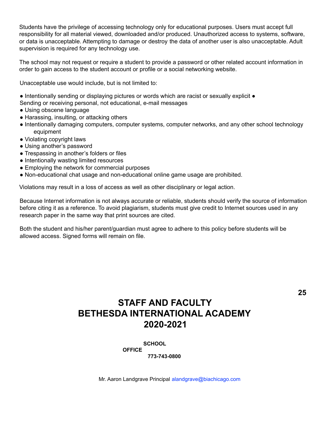Students have the privilege of accessing technology only for educational purposes. Users must accept full responsibility for all material viewed, downloaded and/or produced. Unauthorized access to systems, software, or data is unacceptable. Attempting to damage or destroy the data of another user is also unacceptable. Adult supervision is required for any technology use.

The school may not request or require a student to provide a password or other related account information in order to gain access to the student account or profile or a social networking website.

Unacceptable use would include, but is not limited to:

● Intentionally sending or displaying pictures or words which are racist or sexually explicit ●

- Sending or receiving personal, not educational, e-mail messages
- Using obscene language
- Harassing, insulting, or attacking others
- Intentionally damaging computers, computer systems, computer networks, and any other school technology equipment
- Violating copyright laws
- Using another's password
- Trespassing in another's folders or files
- Intentionally wasting limited resources
- Employing the network for commercial purposes
- Non-educational chat usage and non-educational online game usage are prohibited.

Violations may result in a loss of access as well as other disciplinary or legal action.

Because Internet information is not always accurate or reliable, students should verify the source of information before citing it as a reference. To avoid plagiarism, students must give credit to Internet sources used in any research paper in the same way that print sources are cited.

Both the student and his/her parent/guardian must agree to adhere to this policy before students will be allowed access. Signed forms will remain on file.

# **STAFF AND FACULTY BETHESDA INTERNATIONAL ACADEMY 2020-2021**

**SCHOOL OFFICE**

**773-743-0800**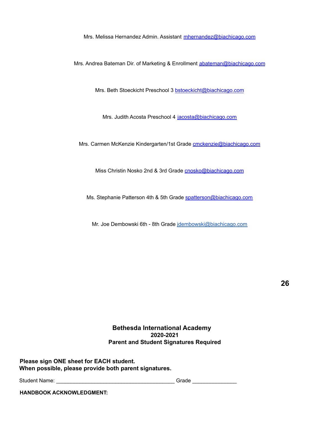Mrs. Melissa Hernandez Admin. Assistant mhernandez@biachicago.com

Mrs. Andrea Bateman Dir. of Marketing & Enrollment abateman@biachicago.com

Mrs. Beth Stoeckicht Preschool 3 bstoeckicht@biachicago.com

Mrs. Judith Acosta Preschool 4 jacosta@biachicago.com

Mrs. Carmen McKenzie Kindergarten/1st Grade cmckenzie@biachicago.com

Miss Christin Nosko 2nd & 3rd Grade **cnosko@biachicago.com** 

Ms. Stephanie Patterson 4th & 5th Grade spatterson@biachicago.com

Mr. Joe Dembowski 6th - 8th Grade [jdembowski@biachicago.com](mailto:jdembowski@biachicago.com)

**26**

#### **Bethesda International Academy 2020-2021 Parent and Student Signatures Required**

**Please sign ONE sheet for EACH student. When possible, please provide both parent signatures.**

Student Name: \_\_\_\_\_\_\_\_\_\_\_\_\_\_\_\_\_\_\_\_\_\_\_\_\_\_\_\_\_\_\_\_\_\_\_\_\_\_\_\_ Grade \_\_\_\_\_\_\_\_\_\_\_\_\_\_\_

**HANDBOOK ACKNOWLEDGMENT:**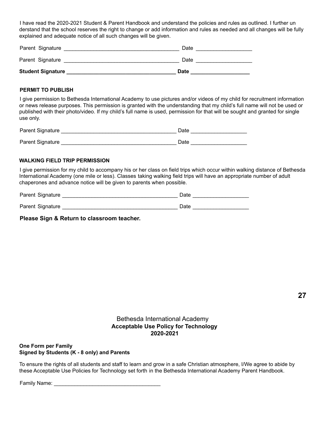I have read the 2020-2021 Student & Parent Handbook and understand the policies and rules as outlined. I further un derstand that the school reserves the right to change or add information and rules as needed and all changes will be fully explained and adequate notice of all such changes will be given.

| <b>Student Signature</b> | <b>Date</b> |
|--------------------------|-------------|
| Parent Signature         | Date        |
| Parent Signature         | Date        |

#### **PERMIT TO PUBLISH**

I give permission to Bethesda International Academy to use pictures and/or videos of my child for recruitment information or news release purposes. This permission is granted with the understanding that my child's full name will not be used or published with their photo/video. If my child's full name is used, permission for that will be sought and granted for single use only.

| Parent Signature | Date |
|------------------|------|
| Parent Signature | Date |

#### **WALKING FIELD TRIP PERMISSION**

I give permission for my child to accompany his or her class on field trips which occur within walking distance of Bethesda International Academy (one mile or less). Classes taking walking field trips will have an appropriate number of adult chaperones and advance notice will be given to parents when possible.

| Parent Signature | Date |
|------------------|------|
| Parent Signature | Date |

**Please Sign & Return to classroom teacher.**

**27**

#### Bethesda International Academy **Acceptable Use Policy for Technology 2020-2021**

**One Form per Family Signed by Students (K - 8 only) and Parents**

To ensure the rights of all students and staff to learn and grow in a safe Christian atmosphere, I/We agree to abide by these Acceptable Use Policies for Technology set forth in the Bethesda International Academy Parent Handbook.

Family Name: \_\_\_\_\_\_\_\_\_\_\_\_\_\_\_\_\_\_\_\_\_\_\_\_\_\_\_\_\_\_\_\_\_\_\_\_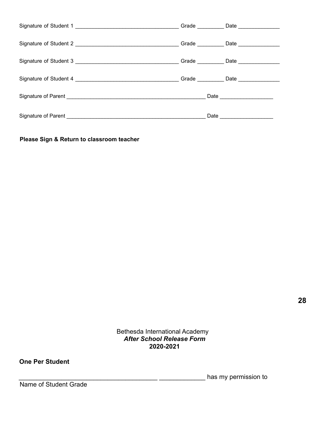|  | Grade _____________ Date ________________    |
|--|----------------------------------------------|
|  | Grade ______________ Date __________________ |
|  |                                              |
|  |                                              |

**Please Sign & Return to classroom teacher**

Bethesda International Academy *After School Release Form* **2020-2021**

#### **One Per Student**

\_\_\_\_\_\_\_\_\_\_\_\_\_\_\_\_\_\_\_\_\_\_\_\_\_\_\_\_\_\_\_\_\_\_\_\_\_\_\_ \_\_\_\_\_\_\_\_\_\_\_\_\_ has my permission to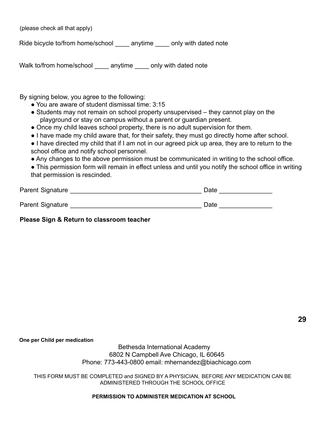(please check all that apply)

Ride bicycle to/from home/school \_\_\_\_\_ anytime \_\_\_\_\_ only with dated note

Walk to/from home/school \_\_\_\_\_ anytime \_\_\_\_\_ only with dated note

By signing below, you agree to the following:

- You are aware of student dismissal time: 3:15
- Students may not remain on school property unsupervised they cannot play on the playground or stay on campus without a parent or guardian present.
- Once my child leaves school property, there is no adult supervision for them.
- I have made my child aware that, for their safety, they must go directly home after school.
- I have directed my child that if I am not in our agreed pick up area, they are to return to the school office and notify school personnel.
- Any changes to the above permission must be communicated in writing to the school office.
- This permission form will remain in effect unless and until you notify the school office in writing that permission is rescinded.

| Parent Signature | Date |  |
|------------------|------|--|
| Parent Signature | Date |  |

**Please Sign & Return to classroom teacher**

**29**

**One per Child per medication**

Bethesda International Academy 6802 N Campbell Ave Chicago, IL 60645 Phone: 773-443-0800 email: mhernandez@biachicago.com

THIS FORM MUST BE COMPLETED and SIGNED BY A PHYSICIAN, BEFORE ANY MEDICATION CAN BE ADMINISTERED THROUGH THE SCHOOL OFFICE

**PERMISSION TO ADMINISTER MEDICATION AT SCHOOL**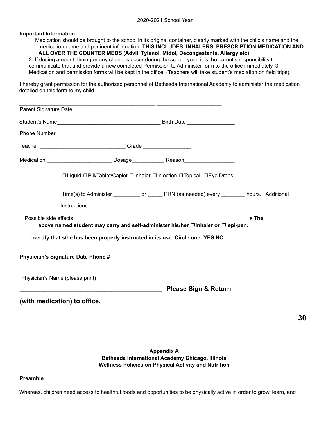#### **Important Information**

1. Medication should be brought to the school in its original container, clearly marked with the child's name and the medication name and pertinent information**. THIS INCLUDES, INHALERS, PRESCRIPTION MEDICATION AND ALL OVER THE COUNTER MEDS (Advil, Tylenol, Midol, Decongestants, Allergy etc)**

2. If dosing amount, timing or any changes occur during the school year, it is the parent's responsibility to communicate that and provide a new completed Permission to Administer form to the office immediately. 3. Medication and permission forms will be kept in the office. (Teachers will take student's mediation on field trips).

I hereby grant permission for the authorized personnel of Bethesda International Academy to administer the medication detailed on this form to my child.

| Parent Signature Date |                                                                                                                             |                                 |               |
|-----------------------|-----------------------------------------------------------------------------------------------------------------------------|---------------------------------|---------------|
|                       |                                                                                                                             |                                 |               |
|                       |                                                                                                                             |                                 |               |
|                       |                                                                                                                             |                                 |               |
|                       |                                                                                                                             |                                 |               |
|                       | <b>□Liquid □Pill/Tablet/Caplet □Inhaler □Injection □Topical □Eye Drops</b>                                                  |                                 |               |
|                       | Time(s) to Administer ____________ or _______ PRN (as needed) every _________ hours. Additional                             |                                 |               |
|                       |                                                                                                                             |                                 |               |
|                       | Possible side effects <b>Example 20</b><br>above named student may carry and self-administer his/her □inhaler or □ epi-pen. |                                 | $\bullet$ The |
|                       | I certify that s/he has been properly instructed in its use. Circle one: YES NO                                             |                                 |               |
|                       | <b>Physician's Signature Date Phone #</b>                                                                                   |                                 |               |
|                       | Physician's Name (please print)                                                                                             |                                 |               |
|                       |                                                                                                                             | <b>Please Sign &amp; Return</b> |               |
|                       | (with medication) to office.                                                                                                |                                 |               |
|                       |                                                                                                                             |                                 |               |
|                       |                                                                                                                             |                                 |               |

**Appendix A Bethesda International Academy Chicago, Illinois Wellness Policies on Physical Activity and Nutrition** **30**

#### **Preamble**

Whereas, children need access to healthful foods and opportunities to be physically active in order to grow, learn, and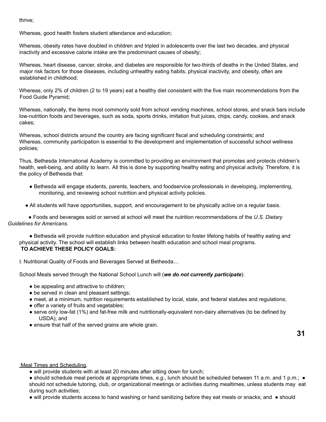thrive;

Whereas, good health fosters student attendance and education;

Whereas, obesity rates have doubled in children and tripled in adolescents over the last two decades, and physical inactivity and excessive calorie intake are the predominant causes of obesity;

Whereas, heart disease, cancer, stroke, and diabetes are responsible for two-thirds of deaths in the United States, and major risk factors for those diseases, including unhealthy eating habits, physical inactivity, and obesity, often are established in childhood;

Whereas, only 2% of children (2 to 19 years) eat a healthy diet consistent with the five main recommendations from the Food Guide Pyramid;

Whereas, nationally, the items most commonly sold from school vending machines, school stores, and snack bars include low-nutrition foods and beverages, such as soda, sports drinks, imitation fruit juices, chips, candy, cookies, and snack cakes;

Whereas, school districts around the country are facing significant fiscal and scheduling constraints; and Whereas, community participation is essential to the development and implementation of successful school wellness policies;

Thus, Bethesda International Academy is committed to providing an environment that promotes and protects children's health, well-being, and ability to learn. All this is done by supporting healthy eating and physical activity. Therefore, it is the policy of Bethesda that:

- Bethesda will engage students, parents, teachers, and foodservice professionals in developing, implementing, monitoring, and reviewing school nutrition and physical activity policies.
- All students will have opportunities, support, and encouragement to be physically active on a regular basis.

● Foods and beverages sold or served at school will meet the nutrition recommendations of the *U.S. Dietary Guidelines for Americans*.

● Bethesda will provide nutrition education and physical education to foster lifelong habits of healthy eating and physical activity. The school will establish links between health education and school meal programs. **TO ACHIEVE THESE POLICY GOALS:**

I. Nutritional Quality of Foods and Beverages Served at Bethesda…

School Meals served through the National School Lunch will (*we do not currently participate*):

- be appealing and attractive to children;
- be served in clean and pleasant settings;
- meet, at a minimum, nutrition requirements established by local, state, and federal statutes and regulations;
- offer a variety of fruits and vegetables;
- serve only low-fat (1%) and fat-free milk and nutritionally-equivalent non-dairy alternatives (to be defined by USDA); and
- ensure that half of the served grains are whole grain.

Meal Times and Scheduling.

• will provide students with at least 20 minutes after sitting down for lunch;

● should schedule meal periods at appropriate times, *e.g.,* lunch should be scheduled between 11 a.m. and 1 p.m.; ● should not schedule tutoring, club, or organizational meetings or activities during mealtimes, unless students may eat during such activities;

● will provide students access to hand washing or hand sanitizing before they eat meals or snacks; and ● should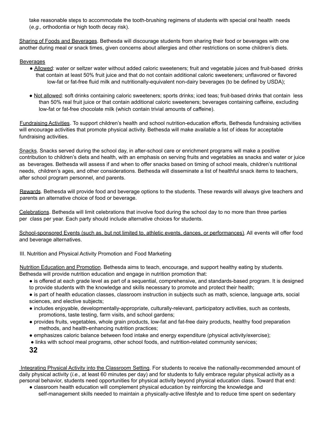take reasonable steps to accommodate the tooth-brushing regimens of students with special oral health needs (*e.g.,* orthodontia or high tooth decay risk).

Sharing of Foods and Beverages. Bethesda will discourage students from sharing their food or beverages with one another during meal or snack times, given concerns about allergies and other restrictions on some children's diets.

#### Beverages

- Allowed: water or seltzer water without added caloric sweeteners; fruit and vegetable juices and fruit-based drinks that contain at least 50% fruit juice and that do not contain additional caloric sweeteners; unflavored or flavored low-fat or fat-free fluid milk and nutritionally-equivalent non-dairy beverages (to be defined by USDA);
- Not allowed: soft drinks containing caloric sweeteners; sports drinks; iced teas; fruit-based drinks that contain less than 50% real fruit juice or that contain additional caloric sweeteners; beverages containing caffeine, excluding low-fat or fat-free chocolate milk (which contain trivial amounts of caffeine).

Fundraising Activities. To support children's health and school nutrition-education efforts, Bethesda fundraising activities will encourage activities that promote physical activity. Bethesda will make available a list of ideas for acceptable fundraising activities.

Snacks. Snacks served during the school day, in after-school care or enrichment programs will make a positive contribution to children's diets and health, with an emphasis on serving fruits and vegetables as snacks and water or juice as beverages. Bethesda will assess if and when to offer snacks based on timing of school meals, children's nutritional needs, children's ages, and other considerations. Bethesda will disseminate a list of healthful snack items to teachers, after school program personnel, and parents.

Rewards. Bethesda will provide food and beverage options to the students. These rewards will always give teachers and parents an alternative choice of food or beverage.

Celebrations. Bethesda will limit celebrations that involve food during the school day to no more than three parties per class per year. Each party should include alternative choices for students.

School-sponsored Events (such as, but not limited to, athletic events, dances, or performances). All events will offer food and beverage alternatives.

III. Nutrition and Physical Activity Promotion and Food Marketing

Nutrition Education and Promotion. Bethesda aims to teach, encourage, and support healthy eating by students. Bethesda will provide nutrition education and engage in nutrition promotion that:

- is offered at each grade level as part of a sequential, comprehensive, and standards-based program. It is designed to provide students with the knowledge and skills necessary to promote and protect their health;
- is part of health education classes, classroom instruction in subjects such as math, science, language arts, social sciences, and elective subjects;
- includes enjoyable, developmentally-appropriate, culturally-relevant, participatory activities, such as contests, promotions, taste testing, farm visits, and school gardens;
- provides fruits, vegetables, whole grain products, low-fat and fat-free dairy products, healthy food preparation methods, and health-enhancing nutrition practices;
- emphasizes caloric balance between food intake and energy expenditure (physical activity/exercise);
- links with school meal programs, other school foods, and nutrition-related community services;
- **32**

Integrating Physical Activity into the Classroom Setting. For students to receive the nationally-recommended amount of daily physical activity (*i.e.,* at least 60 minutes per day) and for students to fully embrace regular physical activity as a personal behavior, students need opportunities for physical activity beyond physical education class. Toward that end:

● classroom health education will complement physical education by reinforcing the knowledge and self-management skills needed to maintain a physically-active lifestyle and to reduce time spent on sedentary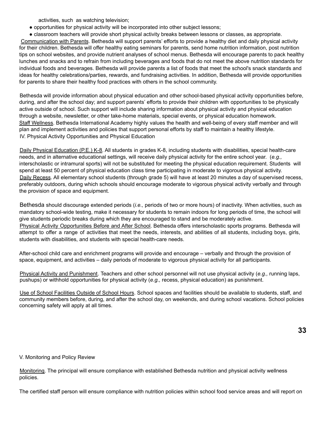activities, such as watching television;

- opportunities for physical activity will be incorporated into other subject lessons;
- classroom teachers will provide short physical activity breaks between lessons or classes, as appropriate.

Communication with Parents. Bethesda will support parents' efforts to provide a healthy diet and daily physical activity for their children. Bethesda will offer healthy eating seminars for parents, send home nutrition information, post nutrition tips on school websites, and provide nutrient analyses of school menus. Bethesda will encourage parents to pack healthy lunches and snacks and to refrain from including beverages and foods that do not meet the above nutrition standards for individual foods and beverages. Bethesda will provide parents a list of foods that meet the school's snack standards and ideas for healthy celebrations/parties, rewards, and fundraising activities. In addition, Bethesda will provide opportunities for parents to share their healthy food practices with others in the school community.

Bethesda will provide information about physical education and other school-based physical activity opportunities before, during, and after the school day; and support parents' efforts to provide their children with opportunities to be physically active outside of school. Such support will include sharing information about physical activity and physical education through a website, newsletter, or other take-home materials, special events, or physical education homework. Staff Wellness. Bethesda International Academy highly values the health and well-being of every staff member and will plan and implement activities and policies that support personal efforts by staff to maintain a healthy lifestyle. IV. Physical Activity Opportunities and Physical Education

Daily Physical Education (P.E.) K-8. All students in grades K-8, including students with disabilities, special health-care needs, and in alternative educational settings, will receive daily physical activity for the entire school year. (*e.g.,* interscholastic or intramural sports) will not be substituted for meeting the physical education requirement. Students will spend at least 50 percent of physical education class time participating in moderate to vigorous physical activity. Daily Recess. All elementary school students (through grade 5) will have at least 20 minutes a day of supervised recess, preferably outdoors, during which schools should encourage moderate to vigorous physical activity verbally and through the provision of space and equipment.

Bethesda should discourage extended periods (*i.e.,* periods of two or more hours) of inactivity. When activities, such as mandatory school-wide testing, make it necessary for students to remain indoors for long periods of time, the school will give students periodic breaks during which they are encouraged to stand and be moderately active. Physical Activity Opportunities Before and After School. Bethesda offers interscholastic sports programs. Bethesda will attempt to offer a range of activities that meet the needs, interests, and abilities of all students, including boys, girls, students with disabilities, and students with special health-care needs.

After-school child care and enrichment programs will provide and encourage – verbally and through the provision of space, equipment, and activities – daily periods of moderate to vigorous physical activity for all participants.

Physical Activity and Punishment. Teachers and other school personnel will not use physical activity (*e.g.,* running laps, pushups) or withhold opportunities for physical activity (*e.g.,* recess, physical education) as punishment.

Use of School Facilities Outside of School Hours. School spaces and facilities should be available to students, staff, and community members before, during, and after the school day, on weekends, and during school vacations. School policies concerning safety will apply at all times.

V. Monitoring and Policy Review

Monitoring. The principal will ensure compliance with established Bethesda nutrition and physical activity wellness policies.

The certified staff person will ensure compliance with nutrition policies within school food service areas and will report on